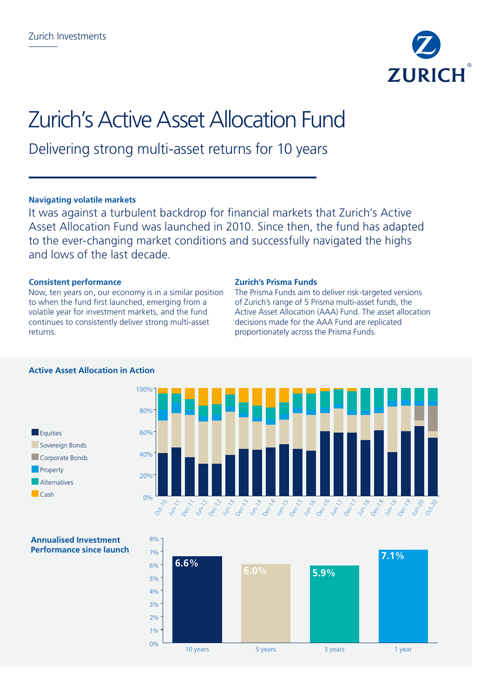

# Zurich's Active Asset Allocation Fund

Delivering strong multi-asset returns for 10 years

# **Navigating volatile markets**

It was against a turbulent backdrop for financial markets that Zurich's Active Asset Allocation Fund was launched in 2010. Since then, the fund has adapted to the ever-changing market conditions and successfully navigated the highs and lows of the last decade.

# **Consistent performance**

Now, ten years on, our economy is in a similar position to when the fund first launched, emerging from a volatile year for investment markets, and the fund continues to consistently deliver strong multi-asset returns.

### **Zurich's Prisma Funds**

The Prisma Funds aim to deliver risk-targeted versions of Zurich's range of 5 Prisma multi-asset funds, the Active Asset Allocation (AAA) Fund. The asset allocation decisions made for the AAA Fund are replicated proportionately across the Prisma Funds.





## **Annualised Investment Performance since launch**



# **Active Asset Allocation in Action**